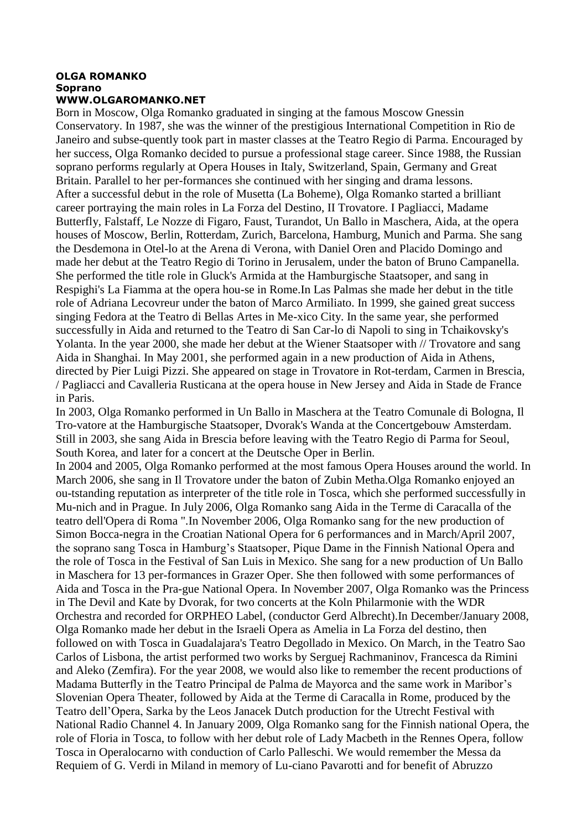## **OLGA ROMANKO Soprano WWW.OLGAROMANKO.NET**

Born in Moscow, Olga Romanko graduated in singing at the famous Moscow Gnessin Conservatory. In 1987, she was the winner of the prestigious International Competition in Rio de Janeiro and subse-quently took part in master classes at the Teatro Regio di Parma. Encouraged by her success, Olga Romanko decided to pursue a professional stage career. Since 1988, the Russian soprano performs regularly at Opera Houses in Italy, Switzerland, Spain, Germany and Great Britain. Parallel to her per-formances she continued with her singing and drama lessons. After a successful debut in the role of Musetta (La Boheme), Olga Romanko started a brilliant career portraying the main roles in La Forza del Destino, II Trovatore. I Pagliacci, Madame Butterfly, Falstaff, Le Nozze di Figaro, Faust, Turandot, Un Ballo in Maschera, Aida, at the opera houses of Moscow, Berlin, Rotterdam, Zurich, Barcelona, Hamburg, Munich and Parma. She sang the Desdemona in Otel-lo at the Arena di Verona, with Daniel Oren and Placido Domingo and made her debut at the Teatro Regio di Torino in Jerusalem, under the baton of Bruno Campanella. She performed the title role in Gluck's Armida at the Hamburgische Staatsoper, and sang in Respighi's La Fiamma at the opera hou-se in Rome.In Las Palmas she made her debut in the title role of Adriana Lecovreur under the baton of Marco Armiliato. In 1999, she gained great success singing Fedora at the Teatro di Bellas Artes in Me-xico City. In the same year, she performed successfully in Aida and returned to the Teatro di San Car-lo di Napoli to sing in Tchaikovsky's Yolanta. In the year 2000, she made her debut at the Wiener Staatsoper with // Trovatore and sang Aida in Shanghai. In May 2001, she performed again in a new production of Aida in Athens, directed by Pier Luigi Pizzi. She appeared on stage in Trovatore in Rot-terdam, Carmen in Brescia, / Pagliacci and Cavalleria Rusticana at the opera house in New Jersey and Aida in Stade de France in Paris.

In 2003, Olga Romanko performed in Un Ballo in Maschera at the Teatro Comunale di Bologna, Il Tro-vatore at the Hamburgische Staatsoper, Dvorak's Wanda at the Concertgebouw Amsterdam. Still in 2003, she sang Aida in Brescia before leaving with the Teatro Regio di Parma for Seoul, South Korea, and later for a concert at the Deutsche Oper in Berlin.

In 2004 and 2005, Olga Romanko performed at the most famous Opera Houses around the world. In March 2006, she sang in Il Trovatore under the baton of Zubin Metha.Olga Romanko enjoyed an ou-tstanding reputation as interpreter of the title role in Tosca, which she performed successfully in Mu-nich and in Prague. In July 2006, Olga Romanko sang Aida in the Terme di Caracalla of the teatro dell'Opera di Roma ".In November 2006, Olga Romanko sang for the new production of Simon Bocca-negra in the Croatian National Opera for 6 performances and in March/April 2007, the soprano sang Tosca in Hamburg's Staatsoper, Pique Dame in the Finnish National Opera and the role of Tosca in the Festival of San Luis in Mexico. She sang for a new production of Un Ballo in Maschera for 13 per-formances in Grazer Oper. She then followed with some performances of Aida and Tosca in the Pra-gue National Opera. In November 2007, Olga Romanko was the Princess in The Devil and Kate by Dvorak, for two concerts at the Koln Philarmonie with the WDR Orchestra and recorded for ORPHEO Label, (conductor Gerd Albrecht).In December/January 2008, Olga Romanko made her debut in the Israeli Opera as Amelia in La Forza del destino, then followed on with Tosca in Guadalajara's Teatro Degollado in Mexico. On March, in the Teatro Sao Carlos of Lisbona, the artist performed two works by Serguej Rachmaninov, Francesca da Rimini and Aleko (Zemfira). For the year 2008, we would also like to remember the recent productions of Madama Butterfly in the Teatro Principal de Palma de Mayorca and the same work in Maribor's Slovenian Opera Theater, followed by Aida at the Terme di Caracalla in Rome, produced by the Teatro dell'Opera, Sarka by the Leos Janacek Dutch production for the Utrecht Festival with National Radio Channel 4. In January 2009, Olga Romanko sang for the Finnish national Opera, the role of Floria in Tosca, to follow with her debut role of Lady Macbeth in the Rennes Opera, follow Tosca in Operalocarno with conduction of Carlo Palleschi. We would remember the Messa da Requiem of G. Verdi in Miland in memory of Lu-ciano Pavarotti and for benefit of Abruzzo